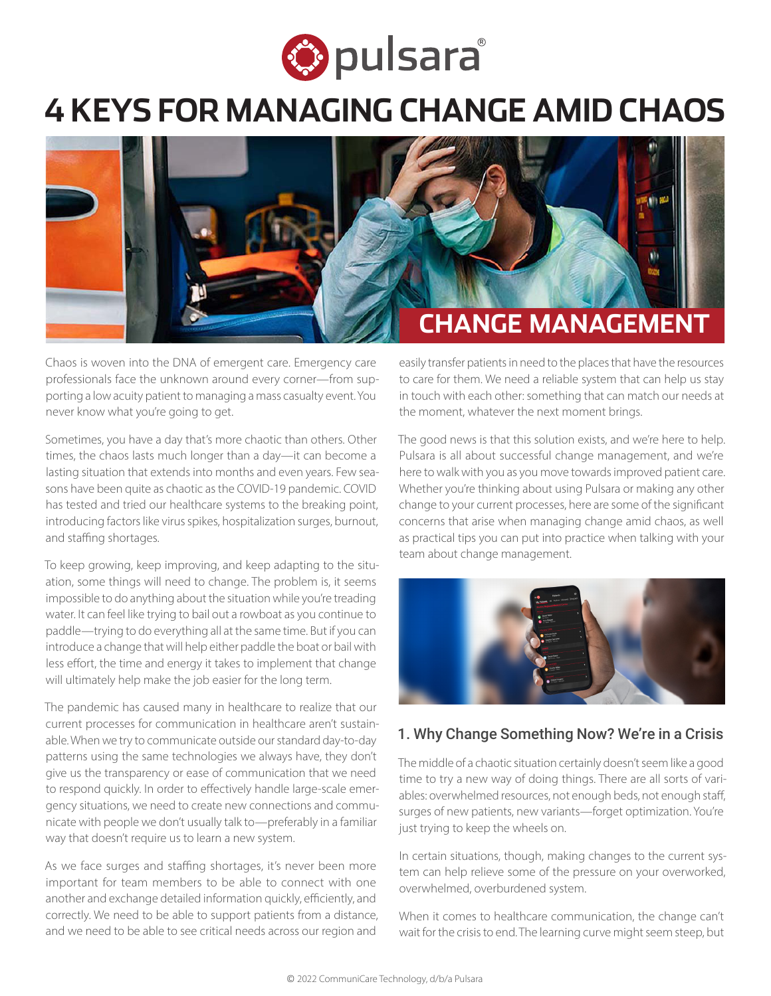

# **4 KEYS FOR MANAGING CHANGE AMID CHAOS**



Chaos is woven into the DNA of emergent care. Emergency care professionals face the unknown around every corner—from supporting a low acuity patient to managing a mass casualty event. You never know what you're going to get.

Sometimes, you have a day that's more chaotic than others. Other times, the chaos lasts much longer than a day—it can become a lasting situation that extends into months and even years. Few seasons have been quite as chaotic as the COVID-19 pandemic. COVID has tested and tried our healthcare systems to the breaking point, introducing factors like virus spikes, hospitalization surges, burnout, and staffing shortages.

To keep growing, keep improving, and keep adapting to the situation, some things will need to change. The problem is, it seems impossible to do anything about the situation while you're treading water. It can feel like trying to bail out a rowboat as you continue to paddle—trying to do everything all at the same time. But if you can introduce a change that will help either paddle the boat or bail with less effort, the time and energy it takes to implement that change will ultimately help make the job easier for the long term.

The pandemic has caused many in healthcare to realize that our current processes for communication in healthcare aren't sustainable. When we try to communicate outside our standard day-to-day patterns using the same technologies we always have, they don't give us the transparency or ease of communication that we need to respond quickly. In order to effectively handle large-scale emergency situations, we need to create new connections and communicate with people we don't usually talk to—preferably in a familiar way that doesn't require us to learn a new system.

As we face surges and staffing shortages, it's never been more important for team members to be able to connect with one another and exchange detailed information quickly, efficiently, and correctly. We need to be able to support patients from a distance, and we need to be able to see critical needs across our region and

easily transfer patients in need to the places that have the resources to care for them. We need a reliable system that can help us stay in touch with each other: something that can match our needs at the moment, whatever the next moment brings.

The good news is that this solution exists, and we're here to help. Pulsara is all about successful change management, and we're here to walk with you as you move towards improved patient care. Whether you're thinking about using Pulsara or making any other change to your current processes, here are some of the significant concerns that arise when managing change amid chaos, as well as practical tips you can put into practice when talking with your team about change management.



#### 1. Why Change Something Now? We're in a Crisis

The middle of a chaotic situation certainly doesn't seem like a good time to try a new way of doing things. There are all sorts of variables: overwhelmed resources, not enough beds, not enough staff, surges of new patients, new variants—forget optimization. You're just trying to keep the wheels on.

In certain situations, though, making changes to the current system can help relieve some of the pressure on your overworked, overwhelmed, overburdened system.

When it comes to healthcare communication, the change can't wait for the crisis to end. The learning curve might seem steep, but